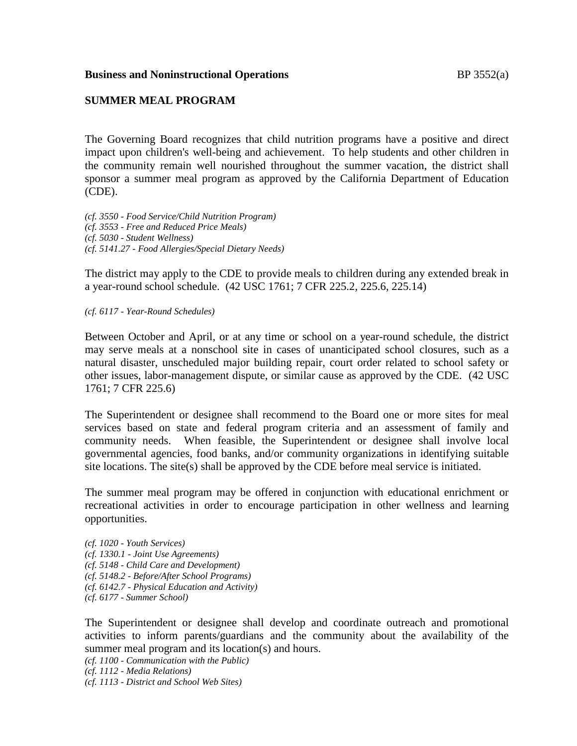### **Business and Noninstructional Operations** BP 3552(a)

### **SUMMER MEAL PROGRAM**

The Governing Board recognizes that child nutrition programs have a positive and direct impact upon children's well-being and achievement. To help students and other children in the community remain well nourished throughout the summer vacation, the district shall sponsor a summer meal program as approved by the California Department of Education (CDE).

*(cf. 3550 - Food Service/Child Nutrition Program) (cf. 3553 - Free and Reduced Price Meals) (cf. 5030 - Student Wellness) (cf. 5141.27 - Food Allergies/Special Dietary Needs)*

The district may apply to the CDE to provide meals to children during any extended break in a year-round school schedule. (42 USC 1761; 7 CFR 225.2, 225.6, 225.14)

*(cf. 6117 - Year-Round Schedules)*

Between October and April, or at any time or school on a year-round schedule, the district may serve meals at a nonschool site in cases of unanticipated school closures, such as a natural disaster, unscheduled major building repair, court order related to school safety or other issues, labor-management dispute, or similar cause as approved by the CDE. (42 USC 1761; 7 CFR 225.6)

The Superintendent or designee shall recommend to the Board one or more sites for meal services based on state and federal program criteria and an assessment of family and community needs. When feasible, the Superintendent or designee shall involve local governmental agencies, food banks, and/or community organizations in identifying suitable site locations. The site(s) shall be approved by the CDE before meal service is initiated.

The summer meal program may be offered in conjunction with educational enrichment or recreational activities in order to encourage participation in other wellness and learning opportunities.

*(cf. 1020 - Youth Services) (cf. 1330.1 - Joint Use Agreements) (cf. 5148 - Child Care and Development) (cf. 5148.2 - Before/After School Programs) (cf. 6142.7 - Physical Education and Activity) (cf. 6177 - Summer School)*

The Superintendent or designee shall develop and coordinate outreach and promotional activities to inform parents/guardians and the community about the availability of the summer meal program and its location(s) and hours.

*(cf. 1100 - Communication with the Public)*

*(cf. 1112 - Media Relations)*

*(cf. 1113 - District and School Web Sites)*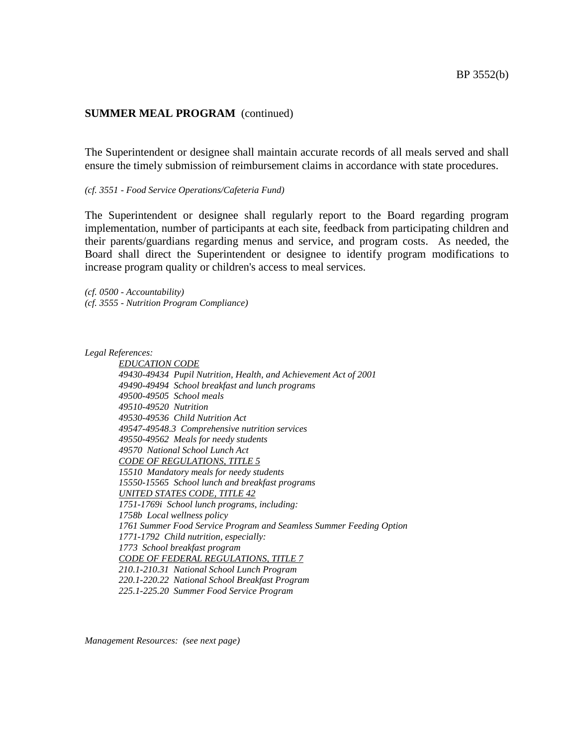The Superintendent or designee shall maintain accurate records of all meals served and shall ensure the timely submission of reimbursement claims in accordance with state procedures.

#### *(cf. 3551 - Food Service Operations/Cafeteria Fund)*

The Superintendent or designee shall regularly report to the Board regarding program implementation, number of participants at each site, feedback from participating children and their parents/guardians regarding menus and service, and program costs. As needed, the Board shall direct the Superintendent or designee to identify program modifications to increase program quality or children's access to meal services.

*(cf. 0500 - Accountability) (cf. 3555 - Nutrition Program Compliance)*

*Legal References:*

*EDUCATION CODE 49430-49434 Pupil Nutrition, Health, and Achievement Act of 2001 49490-49494 School breakfast and lunch programs 49500-49505 School meals 49510-49520 Nutrition 49530-49536 Child Nutrition Act 49547-49548.3 Comprehensive nutrition services 49550-49562 Meals for needy students 49570 National School Lunch Act CODE OF REGULATIONS, TITLE 5 15510 Mandatory meals for needy students 15550-15565 School lunch and breakfast programs UNITED STATES CODE, TITLE 42 1751-1769i School lunch programs, including: 1758b Local wellness policy 1761 Summer Food Service Program and Seamless Summer Feeding Option 1771-1792 Child nutrition, especially: 1773 School breakfast program CODE OF FEDERAL REGULATIONS, TITLE 7 210.1-210.31 National School Lunch Program 220.1-220.22 National School Breakfast Program 225.1-225.20 Summer Food Service Program*

*Management Resources: (see next page)*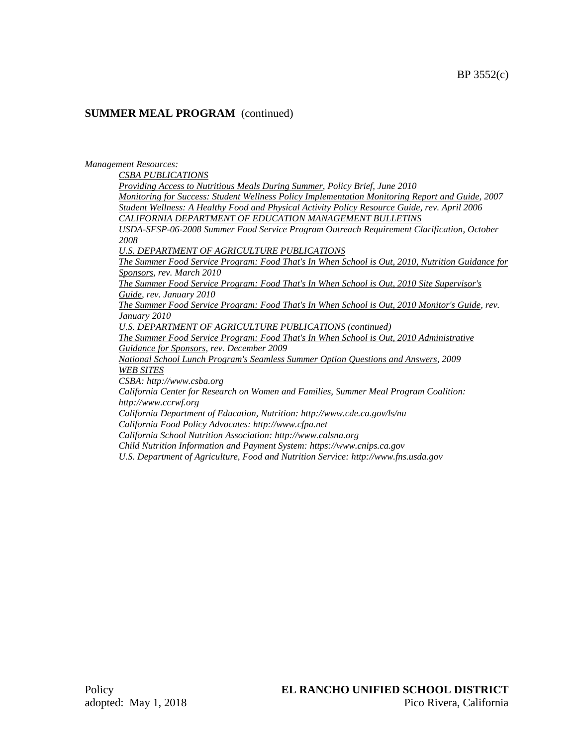#### *Management Resources:*

*CSBA PUBLICATIONS*

*Providing Access to Nutritious Meals During Summer, Policy Brief, June 2010 Monitoring for Success: Student Wellness Policy Implementation Monitoring Report and Guide, 2007 Student Wellness: A Healthy Food and Physical Activity Policy Resource Guide, rev. April 2006 CALIFORNIA DEPARTMENT OF EDUCATION MANAGEMENT BULLETINS*

*USDA-SFSP-06-2008 Summer Food Service Program Outreach Requirement Clarification, October 2008*

*U.S. DEPARTMENT OF AGRICULTURE PUBLICATIONS*

*The Summer Food Service Program: Food That's In When School is Out, 2010, Nutrition Guidance for Sponsors, rev. March 2010*

*The Summer Food Service Program: Food That's In When School is Out, 2010 Site Supervisor's Guide, rev. January 2010*

*The Summer Food Service Program: Food That's In When School is Out, 2010 Monitor's Guide, rev. January 2010*

*U.S. DEPARTMENT OF AGRICULTURE PUBLICATIONS (continued)*

*The Summer Food Service Program: Food That's In When School is Out, 2010 Administrative Guidance for Sponsors, rev. December 2009*

*National School Lunch Program's Seamless Summer Option Questions and Answers, 2009 WEB SITES*

*CSBA: http://www.csba.org*

*California Center for Research on Women and Families, Summer Meal Program Coalition: http://www.ccrwf.org*

*California Department of Education, Nutrition: http://www.cde.ca.gov/ls/nu California Food Policy Advocates: http://www.cfpa.net*

*California School Nutrition Association: http://www.calsna.org*

*Child Nutrition Information and Payment System: https://www.cnips.ca.gov*

*U.S. Department of Agriculture, Food and Nutrition Service: http://www.fns.usda.gov*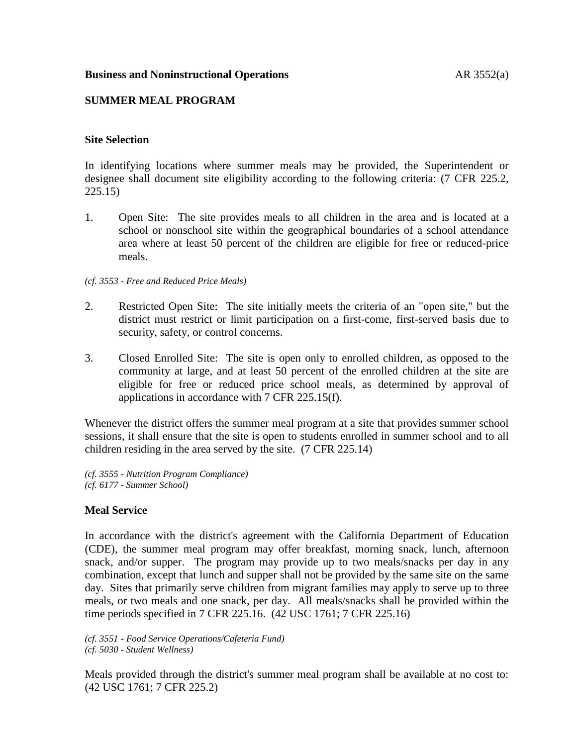## **Business and Noninstructional Operations** AR 3552(a)

# **SUMMER MEAL PROGRAM**

### **Site Selection**

In identifying locations where summer meals may be provided, the Superintendent or designee shall document site eligibility according to the following criteria: (7 CFR 225.2, 225.15)

1. Open Site: The site provides meals to all children in the area and is located at a school or nonschool site within the geographical boundaries of a school attendance area where at least 50 percent of the children are eligible for free or reduced-price meals.

### *(cf. 3553 - Free and Reduced Price Meals)*

- 2. Restricted Open Site: The site initially meets the criteria of an "open site," but the district must restrict or limit participation on a first-come, first-served basis due to security, safety, or control concerns.
- 3. Closed Enrolled Site: The site is open only to enrolled children, as opposed to the community at large, and at least 50 percent of the enrolled children at the site are eligible for free or reduced price school meals, as determined by approval of applications in accordance with 7 CFR 225.15(f).

Whenever the district offers the summer meal program at a site that provides summer school sessions, it shall ensure that the site is open to students enrolled in summer school and to all children residing in the area served by the site. (7 CFR 225.14)

*(cf. 3555 - Nutrition Program Compliance) (cf. 6177 - Summer School)*

# **Meal Service**

In accordance with the district's agreement with the California Department of Education (CDE), the summer meal program may offer breakfast, morning snack, lunch, afternoon snack, and/or supper. The program may provide up to two meals/snacks per day in any combination, except that lunch and supper shall not be provided by the same site on the same day. Sites that primarily serve children from migrant families may apply to serve up to three meals, or two meals and one snack, per day. All meals/snacks shall be provided within the time periods specified in 7 CFR 225.16. (42 USC 1761; 7 CFR 225.16)

*(cf. 3551 - Food Service Operations/Cafeteria Fund) (cf. 5030 - Student Wellness)*

Meals provided through the district's summer meal program shall be available at no cost to: (42 USC 1761; 7 CFR 225.2)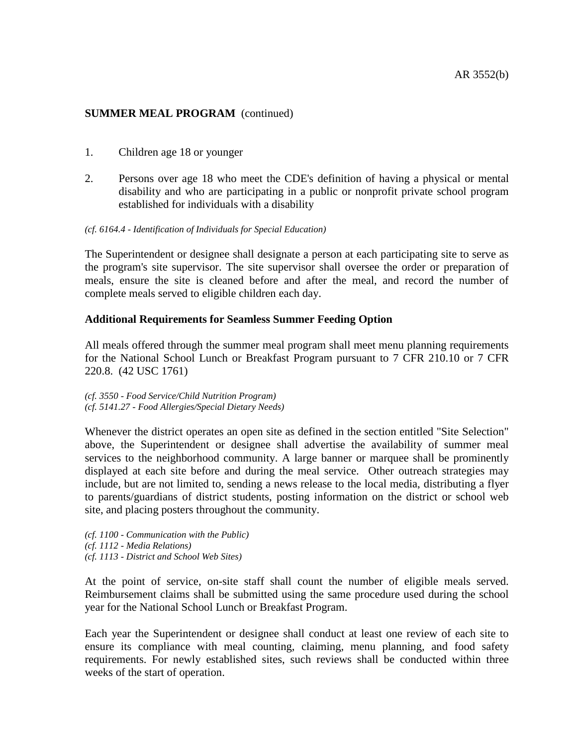- 1. Children age 18 or younger
- 2. Persons over age 18 who meet the CDE's definition of having a physical or mental disability and who are participating in a public or nonprofit private school program established for individuals with a disability

### *(cf. 6164.4 - Identification of Individuals for Special Education)*

The Superintendent or designee shall designate a person at each participating site to serve as the program's site supervisor. The site supervisor shall oversee the order or preparation of meals, ensure the site is cleaned before and after the meal, and record the number of complete meals served to eligible children each day.

## **Additional Requirements for Seamless Summer Feeding Option**

All meals offered through the summer meal program shall meet menu planning requirements for the National School Lunch or Breakfast Program pursuant to 7 CFR 210.10 or 7 CFR 220.8. (42 USC 1761)

*(cf. 3550 - Food Service/Child Nutrition Program) (cf. 5141.27 - Food Allergies/Special Dietary Needs)*

Whenever the district operates an open site as defined in the section entitled "Site Selection" above, the Superintendent or designee shall advertise the availability of summer meal services to the neighborhood community. A large banner or marquee shall be prominently displayed at each site before and during the meal service. Other outreach strategies may include, but are not limited to, sending a news release to the local media, distributing a flyer to parents/guardians of district students, posting information on the district or school web site, and placing posters throughout the community.

- *(cf. 1100 - Communication with the Public)*
- *(cf. 1112 - Media Relations)*
- *(cf. 1113 - District and School Web Sites)*

At the point of service, on-site staff shall count the number of eligible meals served. Reimbursement claims shall be submitted using the same procedure used during the school year for the National School Lunch or Breakfast Program.

Each year the Superintendent or designee shall conduct at least one review of each site to ensure its compliance with meal counting, claiming, menu planning, and food safety requirements. For newly established sites, such reviews shall be conducted within three weeks of the start of operation.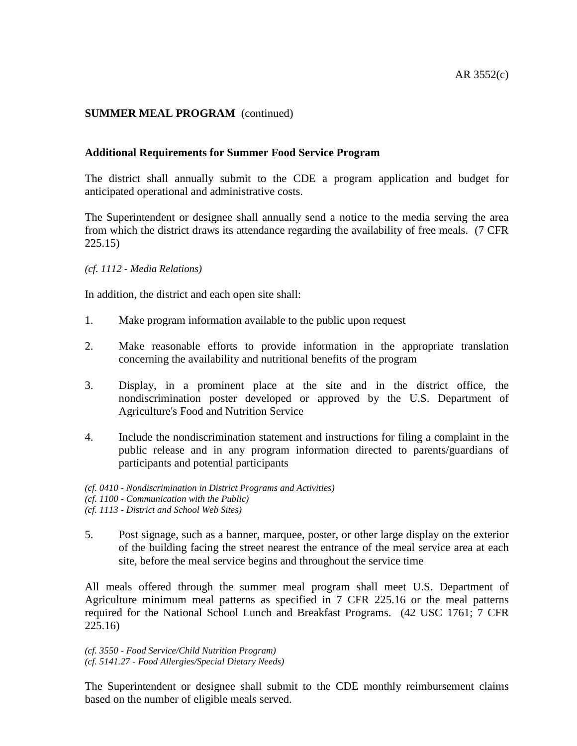## **Additional Requirements for Summer Food Service Program**

The district shall annually submit to the CDE a program application and budget for anticipated operational and administrative costs.

The Superintendent or designee shall annually send a notice to the media serving the area from which the district draws its attendance regarding the availability of free meals. (7 CFR 225.15)

### *(cf. 1112 - Media Relations)*

In addition, the district and each open site shall:

- 1. Make program information available to the public upon request
- 2. Make reasonable efforts to provide information in the appropriate translation concerning the availability and nutritional benefits of the program
- 3. Display, in a prominent place at the site and in the district office, the nondiscrimination poster developed or approved by the U.S. Department of Agriculture's Food and Nutrition Service
- 4. Include the nondiscrimination statement and instructions for filing a complaint in the public release and in any program information directed to parents/guardians of participants and potential participants

*(cf. 0410 - Nondiscrimination in District Programs and Activities) (cf. 1100 - Communication with the Public) (cf. 1113 - District and School Web Sites)*

5. Post signage, such as a banner, marquee, poster, or other large display on the exterior of the building facing the street nearest the entrance of the meal service area at each site, before the meal service begins and throughout the service time

All meals offered through the summer meal program shall meet U.S. Department of Agriculture minimum meal patterns as specified in 7 CFR 225.16 or the meal patterns required for the National School Lunch and Breakfast Programs. (42 USC 1761; 7 CFR 225.16)

*(cf. 3550 - Food Service/Child Nutrition Program) (cf. 5141.27 - Food Allergies/Special Dietary Needs)*

The Superintendent or designee shall submit to the CDE monthly reimbursement claims based on the number of eligible meals served.